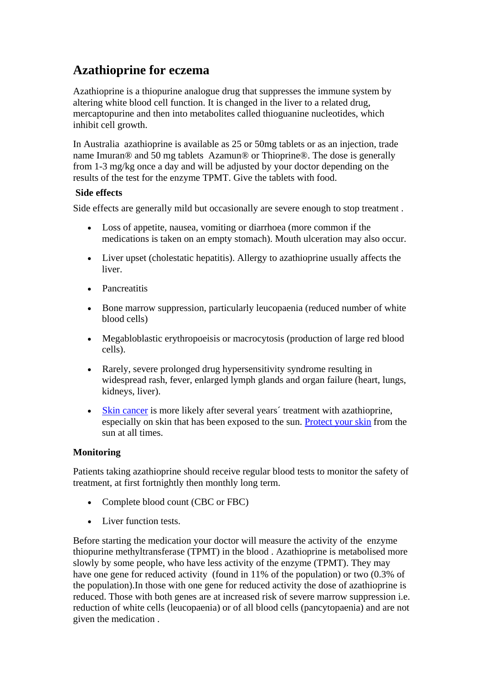# **Azathioprine for eczema**

Azathioprine is a thiopurine analogue drug that suppresses the immune system by altering white blood cell function. It is changed in the liver to a related drug, mercaptopurine and then into metabolites called thioguanine nucleotides, which inhibit cell growth.

In Australia azathioprine is available as 25 or 50mg tablets or as an injection, trade name Imuran® and 50 mg tablets Azamun® or Thioprine®. The dose is generally from 1-3 mg/kg once a day and will be adjusted by your doctor depending on the results of the test for the enzyme TPMT. Give the tablets with food.

## **Side effects**

Side effects are generally mild but occasionally are severe enough to stop treatment .

- Loss of appetite, nausea, vomiting or diarrhoea (more common if the medications is taken on an empty stomach). Mouth ulceration may also occur.
- Liver upset (cholestatic hepatitis). Allergy to azathioprine usually affects the liver.
- Pancreatitis
- Bone marrow suppression, particularly leucopaenia (reduced number of white blood cells)
- Megabloblastic erythropoeisis or macrocytosis (production of large red blood cells).
- Rarely, severe prolonged drug hypersensitivity syndrome resulting in widespread rash, fever, enlarged lymph glands and organ failure (heart, lungs, kidneys, liver).
- [Skin cancer](http://www.dermnetnz.org/lesions/skin-cancer.html) is more likely after several years' treatment with azathioprine, especially on skin that has been exposed to the sun. [Protect your skin](http://www.dermnetnz.org/treatments/sun-protection.html) from the sun at all times.

# **Monitoring**

Patients taking azathioprine should receive regular blood tests to monitor the safety of treatment, at first fortnightly then monthly long term.

- Complete blood count (CBC or FBC)
- Liver function tests.

Before starting the medication your doctor will measure the activity of the enzyme thiopurine methyltransferase (TPMT) in the blood . Azathioprine is metabolised more slowly by some people, who have less activity of the enzyme (TPMT). They may have one gene for reduced activity (found in 11% of the population) or two (0.3% of the population).In those with one gene for reduced activity the dose of azathioprine is reduced. Those with both genes are at increased risk of severe marrow suppression i.e. reduction of white cells (leucopaenia) or of all blood cells (pancytopaenia) and are not given the medication .